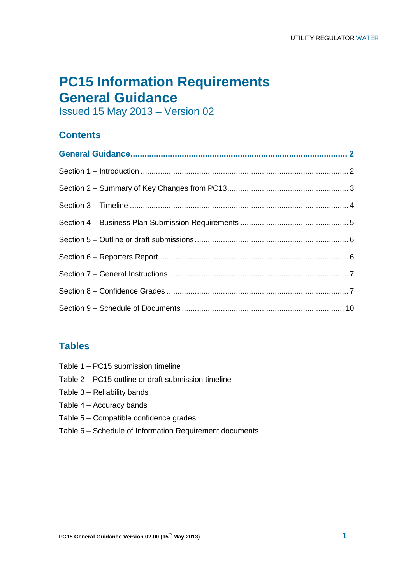# **PC15 Information Requirements General Guidance**

Issued 15 May 2013 – Version 02

# **Contents**

# **Tables**

- Table 1 PC15 submission timeline
- Table 2 PC15 outline or draft submission timeline
- Table 3 Reliability bands
- Table 4 Accuracy bands
- Table 5 Compatible confidence grades
- Table 6 Schedule of Information Requirement documents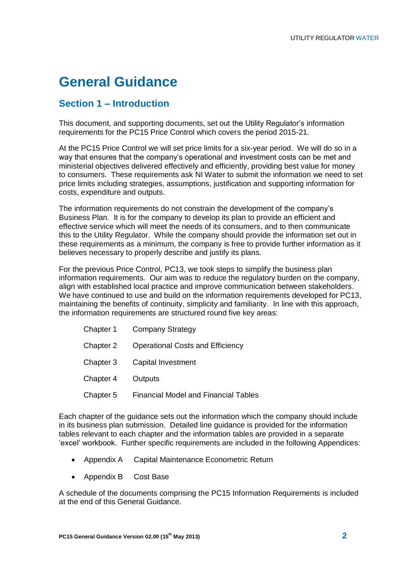# **General Guidance**

## **Section 1 – Introduction**

This document, and supporting documents, set out the Utility Regulator's information requirements for the PC15 Price Control which covers the period 2015-21.

At the PC15 Price Control we will set price limits for a six-year period. We will do so in a way that ensures that the company"s operational and investment costs can be met and ministerial objectives delivered effectively and efficiently, providing best value for money to consumers. These requirements ask NI Water to submit the information we need to set price limits including strategies, assumptions, justification and supporting information for costs, expenditure and outputs.

The information requirements do not constrain the development of the company"s Business Plan. It is for the company to develop its plan to provide an efficient and effective service which will meet the needs of its consumers, and to then communicate this to the Utility Regulator. While the company should provide the information set out in these requirements as a minimum, the company is free to provide further information as it believes necessary to properly describe and justify its plans.

For the previous Price Control, PC13, we took steps to simplify the business plan information requirements. Our aim was to reduce the regulatory burden on the company, align with established local practice and improve communication between stakeholders. We have continued to use and build on the information requirements developed for PC13, maintaining the benefits of continuity, simplicity and familiarity. In line with this approach, the information requirements are structured round five key areas:

| Chapter 1 | <b>Company Strategy</b>                     |
|-----------|---------------------------------------------|
| Chapter 2 | <b>Operational Costs and Efficiency</b>     |
| Chapter 3 | Capital Investment                          |
| Chapter 4 | <b>Outputs</b>                              |
| Chapter 5 | <b>Financial Model and Financial Tables</b> |

Each chapter of the guidance sets out the information which the company should include in its business plan submission. Detailed line guidance is provided for the information tables relevant to each chapter and the information tables are provided in a separate 'excel' workbook. Further specific requirements are included in the following Appendices:

- Appendix A Capital Maintenance Econometric Return
- Appendix B Cost Base

A schedule of the documents comprising the PC15 Information Requirements is included at the end of this General Guidance.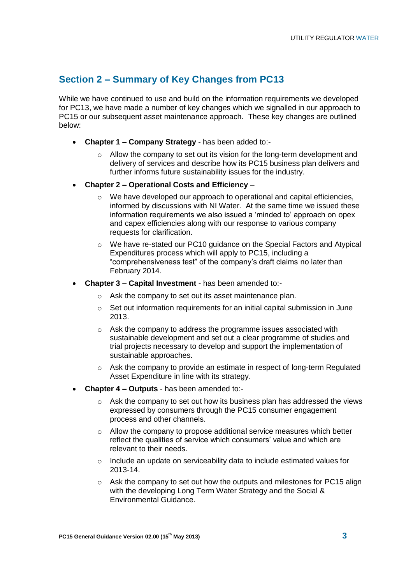## **Section 2 – Summary of Key Changes from PC13**

While we have continued to use and build on the information requirements we developed for PC13, we have made a number of key changes which we signalled in our approach to PC15 or our subsequent asset maintenance approach. These key changes are outlined below:

- **Chapter 1 – Company Strategy** has been added to:-
	- $\circ$  Allow the company to set out its vision for the long-term development and delivery of services and describe how its PC15 business plan delivers and further informs future sustainability issues for the industry.
- **Chapter 2 – Operational Costs and Efficiency**
	- o We have developed our approach to operational and capital efficiencies, informed by discussions with NI Water. At the same time we issued these information requirements we also issued a "minded to" approach on opex and capex efficiencies along with our response to various company requests for clarification.
	- o We have re-stated our PC10 guidance on the Special Factors and Atypical Expenditures process which will apply to PC15, including a "comprehensiveness test" of the company"s draft claims no later than February 2014.
- **Chapter 3 – Capital Investment** has been amended to:
	- o Ask the company to set out its asset maintenance plan.
	- o Set out information requirements for an initial capital submission in June 2013.
	- o Ask the company to address the programme issues associated with sustainable development and set out a clear programme of studies and trial projects necessary to develop and support the implementation of sustainable approaches.
	- o Ask the company to provide an estimate in respect of long-term Regulated Asset Expenditure in line with its strategy.
- **Chapter 4 – Outputs** has been amended to:
	- o Ask the company to set out how its business plan has addressed the views expressed by consumers through the PC15 consumer engagement process and other channels.
	- o Allow the company to propose additional service measures which better reflect the qualities of service which consumers' value and which are relevant to their needs.
	- o Include an update on serviceability data to include estimated values for 2013-14.
	- $\circ$  Ask the company to set out how the outputs and milestones for PC15 align with the developing Long Term Water Strategy and the Social & Environmental Guidance.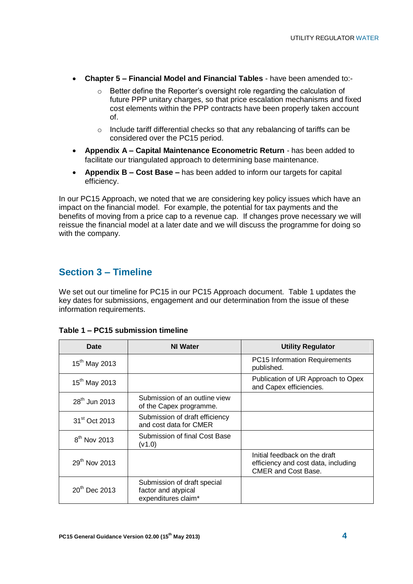- **Chapter 5 – Financial Model and Financial Tables** have been amended to:-
	- Better define the Reporter's oversight role regarding the calculation of future PPP unitary charges, so that price escalation mechanisms and fixed cost elements within the PPP contracts have been properly taken account of.
	- o Include tariff differential checks so that any rebalancing of tariffs can be considered over the PC15 period.
- **Appendix A – Capital Maintenance Econometric Return** has been added to facilitate our triangulated approach to determining base maintenance.
- **Appendix B – Cost Base –** has been added to inform our targets for capital efficiency.

In our PC15 Approach, we noted that we are considering key policy issues which have an impact on the financial model. For example, the potential for tax payments and the benefits of moving from a price cap to a revenue cap. If changes prove necessary we will reissue the financial model at a later date and we will discuss the programme for doing so with the company.

### **Section 3 – Timeline**

We set out our timeline for PC15 in our PC15 Approach document. Table 1 updates the key dates for submissions, engagement and our determination from the issue of these information requirements.

| Date                      | <b>NI Water</b><br><b>Utility Regulator</b>                               |                                                                                                    |
|---------------------------|---------------------------------------------------------------------------|----------------------------------------------------------------------------------------------------|
| $15^{th}$ May 2013        |                                                                           | PC15 Information Requirements<br>published.                                                        |
| 15 <sup>th</sup> May 2013 |                                                                           | Publication of UR Approach to Opex<br>and Capex efficiencies.                                      |
| 28 <sup>th</sup> Jun 2013 | Submission of an outline view<br>of the Capex programme.                  |                                                                                                    |
| 31 <sup>st</sup> Oct 2013 | Submission of draft efficiency<br>and cost data for CMER                  |                                                                                                    |
| $8th$ Nov 2013            | Submission of final Cost Base<br>(V1.0)                                   |                                                                                                    |
| 29 <sup>th</sup> Nov 2013 |                                                                           | Initial feedback on the draft<br>efficiency and cost data, including<br><b>CMER and Cost Base.</b> |
| 20 <sup>th</sup> Dec 2013 | Submission of draft special<br>factor and atypical<br>expenditures claim* |                                                                                                    |

#### **Table 1 – PC15 submission timeline**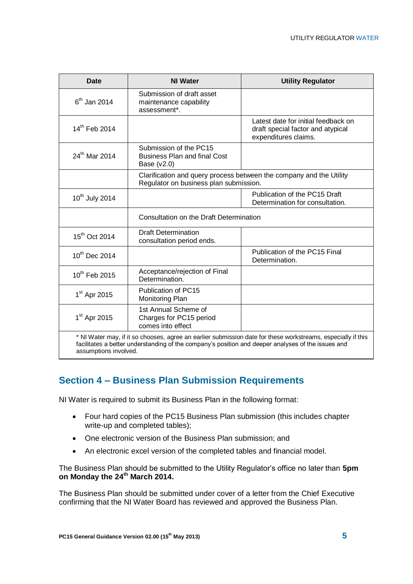| <b>Date</b>                                                                                                                                                                                                                                 | <b>NI Water</b>                                                                                               | <b>Utility Regulator</b>                        |  |
|---------------------------------------------------------------------------------------------------------------------------------------------------------------------------------------------------------------------------------------------|---------------------------------------------------------------------------------------------------------------|-------------------------------------------------|--|
| $6th$ Jan 2014                                                                                                                                                                                                                              | Submission of draft asset<br>maintenance capability<br>assessment*.                                           |                                                 |  |
| 14th Feb 2014                                                                                                                                                                                                                               | Latest date for initial feedback on<br>draft special factor and atypical<br>expenditures claims.              |                                                 |  |
| $24^{th}$ Mar 2014                                                                                                                                                                                                                          | Submission of the PC15<br><b>Business Plan and final Cost</b><br>Base $(v2.0)$                                |                                                 |  |
|                                                                                                                                                                                                                                             | Clarification and query process between the company and the Utility<br>Regulator on business plan submission. |                                                 |  |
| 10 <sup>th</sup> July 2014                                                                                                                                                                                                                  | Publication of the PC15 Draft<br>Determination for consultation.                                              |                                                 |  |
|                                                                                                                                                                                                                                             | Consultation on the Draft Determination                                                                       |                                                 |  |
| 15 <sup>th</sup> Oct 2014                                                                                                                                                                                                                   | <b>Draft Determination</b><br>consultation period ends.                                                       |                                                 |  |
| 10 <sup>th</sup> Dec 2014                                                                                                                                                                                                                   |                                                                                                               | Publication of the PC15 Final<br>Determination. |  |
| $10^{th}$ Feb 2015                                                                                                                                                                                                                          | Acceptance/rejection of Final<br>Determination.                                                               |                                                 |  |
| 1 <sup>st</sup> Apr 2015                                                                                                                                                                                                                    | Publication of PC15<br>Monitoring Plan                                                                        |                                                 |  |
| 1 <sup>st</sup> Apr 2015                                                                                                                                                                                                                    | 1st Annual Scheme of<br>Charges for PC15 period<br>comes into effect                                          |                                                 |  |
| * NI Water may, if it so chooses, agree an earlier submission date for these workstreams, especially if this<br>facilitates a better understanding of the company's position and deeper analyses of the issues and<br>assumptions involved. |                                                                                                               |                                                 |  |

## **Section 4 – Business Plan Submission Requirements**

NI Water is required to submit its Business Plan in the following format:

- Four hard copies of the PC15 Business Plan submission (this includes chapter write-up and completed tables);
- One electronic version of the Business Plan submission; and
- An electronic excel version of the completed tables and financial model.

The Business Plan should be submitted to the Utility Regulator"s office no later than **5pm on Monday the 24th March 2014.**

The Business Plan should be submitted under cover of a letter from the Chief Executive confirming that the NI Water Board has reviewed and approved the Business Plan.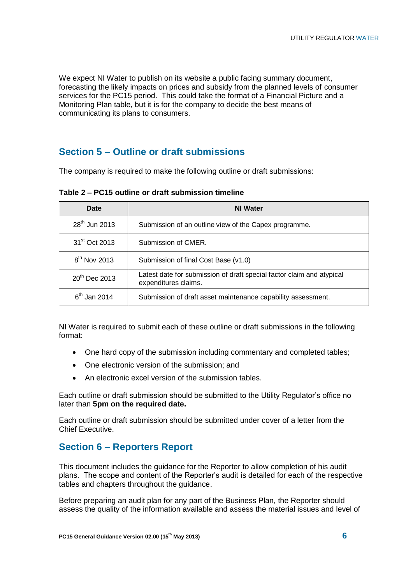We expect NI Water to publish on its website a public facing summary document, forecasting the likely impacts on prices and subsidy from the planned levels of consumer services for the PC15 period. This could take the format of a Financial Picture and a Monitoring Plan table, but it is for the company to decide the best means of communicating its plans to consumers.

## **Section 5 – Outline or draft submissions**

The company is required to make the following outline or draft submissions:

| <b>Date</b>               | <b>NI Water</b>                                                                               |  |  |
|---------------------------|-----------------------------------------------------------------------------------------------|--|--|
| 28 <sup>th</sup> Jun 2013 | Submission of an outline view of the Capex programme.                                         |  |  |
| 31 <sup>st</sup> Oct 2013 | Submission of CMER.                                                                           |  |  |
| $8th$ Nov 2013            | Submission of final Cost Base (v1.0)                                                          |  |  |
| 20 <sup>th</sup> Dec 2013 | Latest date for submission of draft special factor claim and atypical<br>expenditures claims. |  |  |
| $6th$ Jan 2014            | Submission of draft asset maintenance capability assessment.                                  |  |  |

**Table 2 – PC15 outline or draft submission timeline**

NI Water is required to submit each of these outline or draft submissions in the following format:

- One hard copy of the submission including commentary and completed tables;
- One electronic version of the submission: and
- An electronic excel version of the submission tables.

Each outline or draft submission should be submitted to the Utility Regulator"s office no later than **5pm on the required date.**

Each outline or draft submission should be submitted under cover of a letter from the Chief Executive.

### **Section 6 – Reporters Report**

This document includes the guidance for the Reporter to allow completion of his audit plans. The scope and content of the Reporter"s audit is detailed for each of the respective tables and chapters throughout the guidance.

Before preparing an audit plan for any part of the Business Plan, the Reporter should assess the quality of the information available and assess the material issues and level of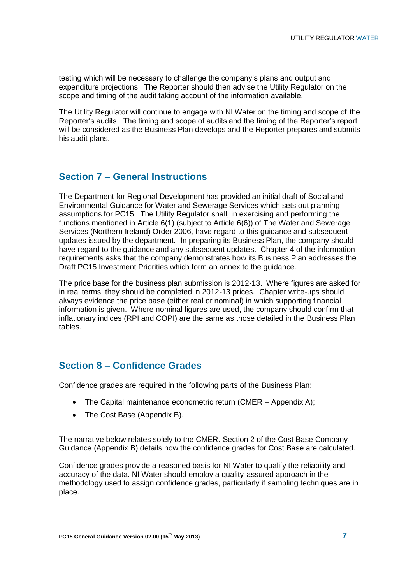testing which will be necessary to challenge the company"s plans and output and expenditure projections. The Reporter should then advise the Utility Regulator on the scope and timing of the audit taking account of the information available.

The Utility Regulator will continue to engage with NI Water on the timing and scope of the Reporter's audits. The timing and scope of audits and the timing of the Reporter's report will be considered as the Business Plan develops and the Reporter prepares and submits his audit plans.

### **Section 7 – General Instructions**

The Department for Regional Development has provided an initial draft of Social and Environmental Guidance for Water and Sewerage Services which sets out planning assumptions for PC15. The Utility Regulator shall, in exercising and performing the functions mentioned in Article 6(1) (subject to Article 6(6)) of The Water and Sewerage Services (Northern Ireland) Order 2006, have regard to this guidance and subsequent updates issued by the department. In preparing its Business Plan, the company should have regard to the guidance and any subsequent updates. Chapter 4 of the information requirements asks that the company demonstrates how its Business Plan addresses the Draft PC15 Investment Priorities which form an annex to the guidance.

The price base for the business plan submission is 2012-13. Where figures are asked for in real terms, they should be completed in 2012-13 prices. Chapter write-ups should always evidence the price base (either real or nominal) in which supporting financial information is given. Where nominal figures are used, the company should confirm that inflationary indices (RPI and COPI) are the same as those detailed in the Business Plan tables.

### **Section 8 – Confidence Grades**

Confidence grades are required in the following parts of the Business Plan:

- The Capital maintenance econometric return (CMER Appendix A);
- The Cost Base (Appendix B).

The narrative below relates solely to the CMER. Section 2 of the Cost Base Company Guidance (Appendix B) details how the confidence grades for Cost Base are calculated.

Confidence grades provide a reasoned basis for NI Water to qualify the reliability and accuracy of the data. NI Water should employ a quality-assured approach in the methodology used to assign confidence grades, particularly if sampling techniques are in place.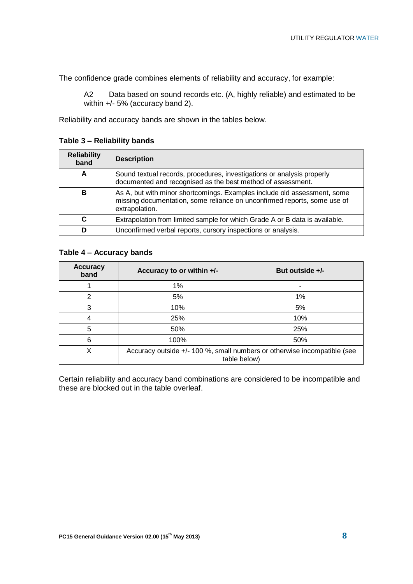The confidence grade combines elements of reliability and accuracy, for example:

A2 Data based on sound records etc. (A, highly reliable) and estimated to be within +/- 5% (accuracy band 2).

Reliability and accuracy bands are shown in the tables below.

#### **Table 3 – Reliability bands**

| <b>Reliability</b><br>band | <b>Description</b>                                                                                                                                                     |
|----------------------------|------------------------------------------------------------------------------------------------------------------------------------------------------------------------|
| A                          | Sound textual records, procedures, investigations or analysis properly<br>documented and recognised as the best method of assessment.                                  |
| в                          | As A, but with minor shortcomings. Examples include old assessment, some<br>missing documentation, some reliance on unconfirmed reports, some use of<br>extrapolation. |
| C                          | Extrapolation from limited sample for which Grade A or B data is available.                                                                                            |
| D                          | Unconfirmed verbal reports, cursory inspections or analysis.                                                                                                           |

#### **Table 4 – Accuracy bands**

| <b>Accuracy</b><br>band | Accuracy to or within +/-                                                                | But outside $+/-$ |  |
|-------------------------|------------------------------------------------------------------------------------------|-------------------|--|
|                         | $1\%$                                                                                    | -                 |  |
| 2                       | 5%<br>1%                                                                                 |                   |  |
| 3                       | 10%                                                                                      | 5%                |  |
| 4                       | 25%                                                                                      | 10%               |  |
| 5                       | 50%<br>25%                                                                               |                   |  |
| 6                       | 100%<br>50%                                                                              |                   |  |
| Χ                       | Accuracy outside +/- 100 %, small numbers or otherwise incompatible (see<br>table below) |                   |  |

Certain reliability and accuracy band combinations are considered to be incompatible and these are blocked out in the table overleaf.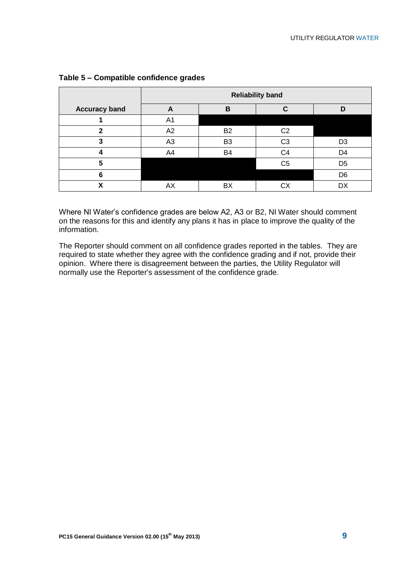|                      | <b>Reliability band</b> |                |                |                |
|----------------------|-------------------------|----------------|----------------|----------------|
| <b>Accuracy band</b> | A                       | B              |                | n              |
|                      | A <sub>1</sub>          |                |                |                |
| 2                    | A2                      | B <sub>2</sub> | C <sub>2</sub> |                |
|                      | A <sub>3</sub>          | B <sub>3</sub> | C <sub>3</sub> | D <sub>3</sub> |
|                      | A4                      | B <sub>4</sub> | C4             | D4             |
| 5                    |                         |                | C <sub>5</sub> | D <sub>5</sub> |
| 6                    |                         |                |                | D <sub>6</sub> |
|                      | АX                      | BX             |                |                |

#### **Table 5 – Compatible confidence grades**

Where NI Water"s confidence grades are below A2, A3 or B2, NI Water should comment on the reasons for this and identify any plans it has in place to improve the quality of the information.

The Reporter should comment on all confidence grades reported in the tables. They are required to state whether they agree with the confidence grading and if not, provide their opinion. Where there is disagreement between the parties, the Utility Regulator will normally use the Reporter's assessment of the confidence grade.